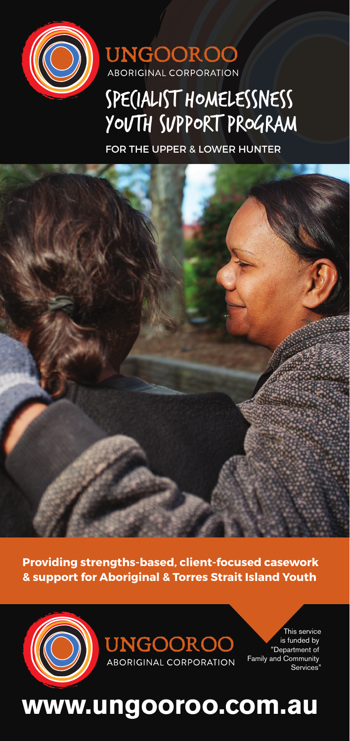



# SPECIALIST HOMELESSNESS YOUTH SUPPORT PROGRAM

FOR THE UPPER & LOWER HUNTER



**Providing strengths-based, client-focused casework & support for Aboriginal & Torres Strait Island Youth** 



**UNGOOROO ABORIGINAL CORPORATION** 

This service is funded by "Department of Family and Community Services<sup>®</sup>

# **www.ungooroo.com.au**